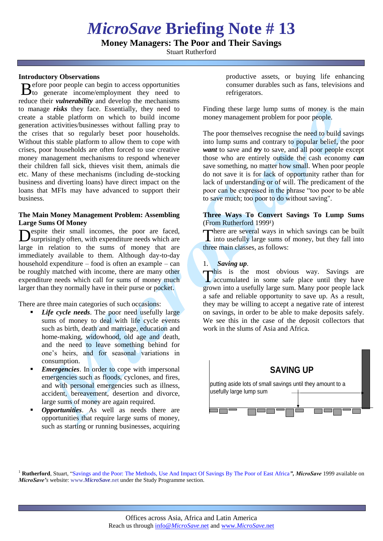# *MicroSave* **Briefing Note # 13**

**Money Managers: The Poor and Their Savings**

Stuart Rutherford

#### **Introductory Observations**

efore poor people can begin to access opportunities  $B_0^{\text{efore}}$  poor people can begin to access opportunities to generate income/employment they need to reduce their *vulnerability* and develop the mechanisms to manage *risks* they face. Essentially, they need to create a stable platform on which to build income generation activities/businesses without falling pray to the crises that so regularly beset poor households. Without this stable platform to allow them to cope with crises, poor households are often forced to use creative money management mechanisms to respond whenever their children fall sick, thieves visit them, animals die etc. Many of these mechanisms (including de-stocking business and diverting loans) have direct impact on the loans that MFIs may have advanced to support their business.

## **The Main Money Management Problem: Assembling Large Sums Of Money**

espite their small incomes, the poor are faced, Despite their small incomes, the poor are faced,<br>
Tsurprisingly often, with expenditure needs which are large in relation to the sums of money that are immediately available to them. Although day-to-day household expenditure – food is often an example – can be roughly matched with income, there are many other expenditure needs which call for sums of money much larger than they normally have in their purse or pocket.

There are three main categories of such occasions:

- *Life cycle needs*. The poor need usefully large sums of money to deal with life cycle events such as birth, death and marriage, education and home-making, widowhood, old age and death, and the need to leave something behind for one's heirs, and for seasonal variations in consumption.
- *Emergencies*. In order to cope with impersonal emergencies such as floods, cyclones, and fires, and with personal emergencies such as illness, accident, bereavement, desertion and divorce, large sums of money are again required.
- *Opportunities*. As well as needs there are opportunities that require large sums of money, such as starting or running businesses, acquiring

productive assets, or buying life enhancing consumer durables such as fans, televisions and refrigerators.

Finding these large lump sums of money is the main money management problem for poor people.

The poor themselves recognise the need to build savings into lump sums and contrary to popular belief, the poor *want* to save and *try* to save, and all poor people except those who are entirely outside the cash economy *can* save something, no matter how small. When poor people do not save it is for lack of opportunity rather than for lack of understanding or of will. The predicament of the poor can be expressed in the phrase "too poor to be able to save much; too poor to do without saving".

## **Three Ways To Convert Savings To Lump Sums**   $(From Rutherford 1999<sup>1</sup>)$

here are several ways in which savings can be built  $\perp$  into usefully large sums of money, but they fall into three main classes, as follows:

## 1. *Saving up*.

This is the most obvious way. Savings are<br>accumulated in some safe place until they have **L** accumulated in some safe place until they have grown into a usefully large sum. Many poor people lack a safe and reliable opportunity to save up. As a result, they may be willing to accept a negative rate of interest on savings, in order to be able to make deposits safely. We see this in the case of the deposit collectors that work in the slums of Asia and Africa.



<sup>1</sup> **Rutherford**, Stuart, ["Savings and the Poor: The Methods, Use And Impact Of Savings By The Poor of East Africa](http://www.microsave.org/research_paper/savings-and-the-poor-the-methods-use-and-impact-of-savings-by-the-poor-of-east-africa)", MicroSave 1999 available on *MicroSave's* website: www.*[MicroSave](http://www.microsave.org/)*.net under the Study Programme section.